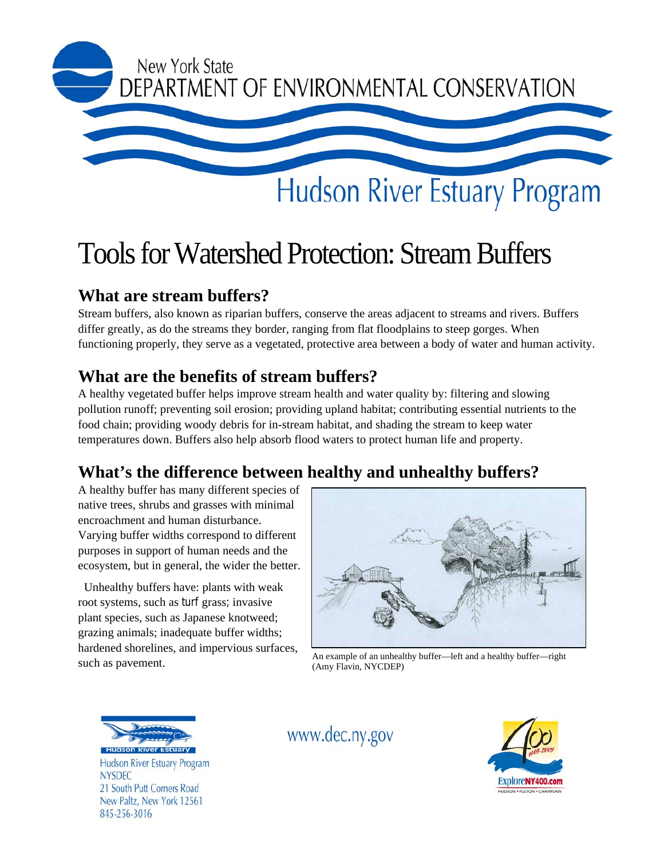

# Tools for Watershed Protection: Stream Buffers

## **What are stream buffers?**

Stream buffers, also known as riparian buffers, conserve the areas adjacent to streams and rivers. Buffers differ greatly, as do the streams they border, ranging from flat floodplains to steep gorges. When functioning properly, they serve as a vegetated, protective area between a body of water and human activity.

## **What are the benefits of stream buffers?**

A healthy vegetated buffer helps improve stream health and water quality by: filtering and slowing pollution runoff; preventing soil erosion; providing upland habitat; contributing essential nutrients to the food chain; providing woody debris for in-stream habitat, and shading the stream to keep water temperatures down. Buffers also help absorb flood waters to protect human life and property.

# **What's the difference between healthy and unhealthy buffers?**

A healthy buffer has many different species of native trees, shrubs and grasses with minimal encroachment and human disturbance. Varying buffer widths correspond to different purposes in support of human needs and the ecosystem, but in general, the wider the better.

 Unhealthy buffers have: plants with weak root systems, such as turf grass; invasive plant species, such as Japanese knotweed; grazing animals; inadequate buffer widths; hardened shorelines, and impervious surfaces,



such as pavement.<br>Such as pavement.<br> $\frac{(A_{\text{mw}} - B_{\text{r}})}{(A_{\text{mw}} - B_{\text{r}})}$  (Amy Flavin NYCDEP) (Amy Flavin, NYCDEP)



Hudson River Estuary Program **NYSDEC** 21 South Putt Corners Road New Paltz, New York 12561 845-256-3016

# www.dec.ny.gov